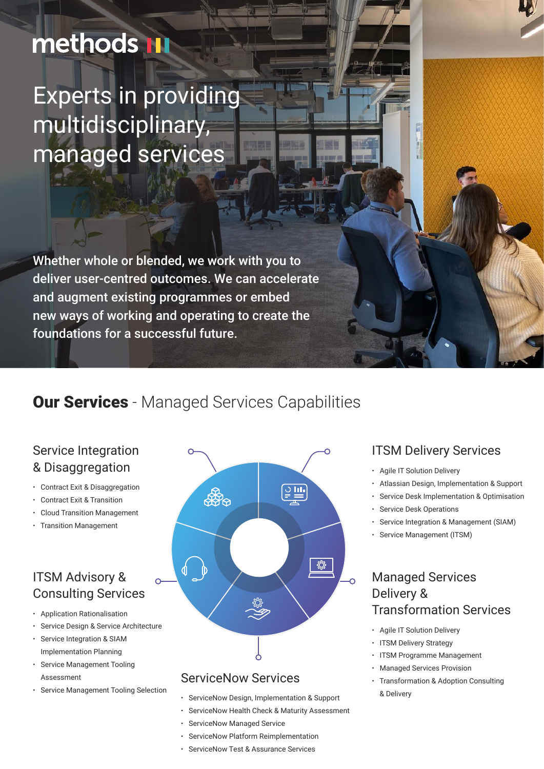# methods III

Experts in providing multidisciplinary, managed services

Whether whole or blended, we work with you to deliver user-centred outcomes. We can accelerate and augment existing programmes or embed new ways of working and operating to create the foundations for a successful future.

## **Our Services** - Managed Services Capabilities

#### Service Integration & Disaggregation

- Contract Exit & Disaggregation
- ꞏ Contract Exit & Transition
- ꞏ Cloud Transition Management
- ꞏ Transition Management

### ITSM Advisory & Consulting Services

- ꞏ Application Rationalisation
- ꞏ Service Design & Service Architecture
- Service Integration & SIAM Implementation Planning
- ꞏ Service Management Tooling Assessment
- ꞏ Service Management Tooling Selection



#### ServiceNow Services

- ꞏ ServiceNow Design, Implementation & Support
- ꞏ ServiceNow Health Check & Maturity Assessment
- ꞏ ServiceNow Managed Service
- ꞏ ServiceNow Platform Reimplementation
- ServiceNow Test & Assurance Services

#### ITSM Delivery Services

- ꞏ Agile IT Solution Delivery
- ꞏ Atlassian Design, Implementation & Support
- Service Desk Implementation & Optimisation
- Service Desk Operations
- Service Integration & Management (SIAM)
- Service Management (ITSM)

#### Managed Services Delivery & Transformation Services

- ꞏ Agile IT Solution Delivery
- ITSM Delivery Strategy
	- ꞏ ITSM Programme Management
- ꞏ Managed Services Provision
- ꞏ Transformation & Adoption Consulting & Delivery